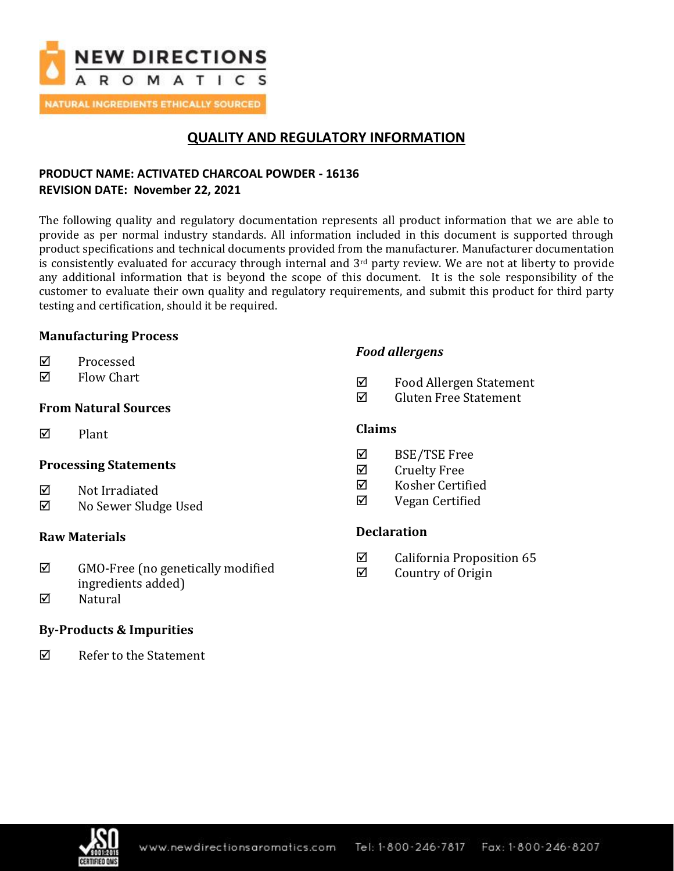

**NATURAL INGREDIENTS ETHICALLY SOURCED** 

## **QUALITY AND REGULATORY INFORMATION**

## **PRODUCT NAME: ACTIVATED CHARCOAL POWDER - 16136 REVISION DATE: November 22, 2021**

The following quality and regulatory documentation represents all product information that we are able to provide as per normal industry standards. All information included in this document is supported through product specifications and technical documents provided from the manufacturer. Manufacturer documentation is consistently evaluated for accuracy through internal and 3<sup>rd</sup> party review. We are not at liberty to provide any additional information that is beyond the scope of this document. It is the sole responsibility of the customer to evaluate their own quality and regulatory requirements, and submit this product for third party testing and certification, should it be required.

## **Manufacturing Process**

- **☑** Processed
- $\nabla$  Flow Chart

## **From Natural Sources**

 $\nabla$  Plant

## **Processing Statements**

- $\nabla$  Not Irradiated
- No Sewer Sludge Used

## **Raw Materials**

- $\boxtimes$  GMO-Free (no genetically modified ingredients added)
- $\boxtimes$  Natural

## **By-Products & Impurities**

Refer to the Statement

## *Food allergens*

- Food Allergen Statement
- $\boxtimes$  Gluten Free Statement

## **Claims**

- $\boxtimes$  BSE/TSE Free
- $\boxtimes$  Cruelty Free
- $\nabla$  Kosher Certified
- $\nabla$  Vegan Certified

## **Declaration**

- $\boxtimes$  California Proposition 65
- $\boxtimes$  Country of Origin

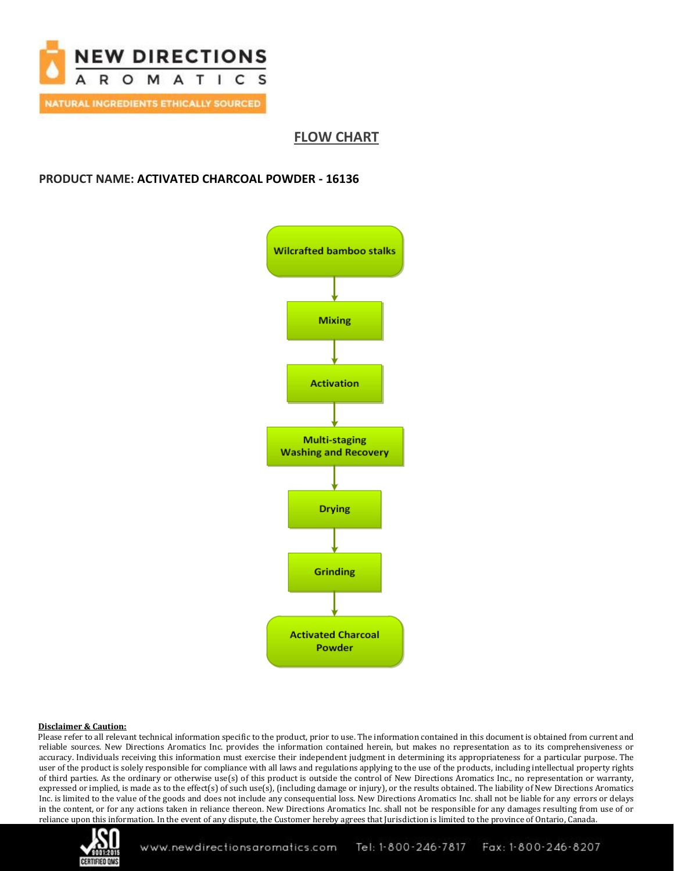

**FLOW CHART**

## **PRODUCT NAME: ACTIVATED CHARCOAL POWDER - 16136**



#### **Disclaimer & Caution:**

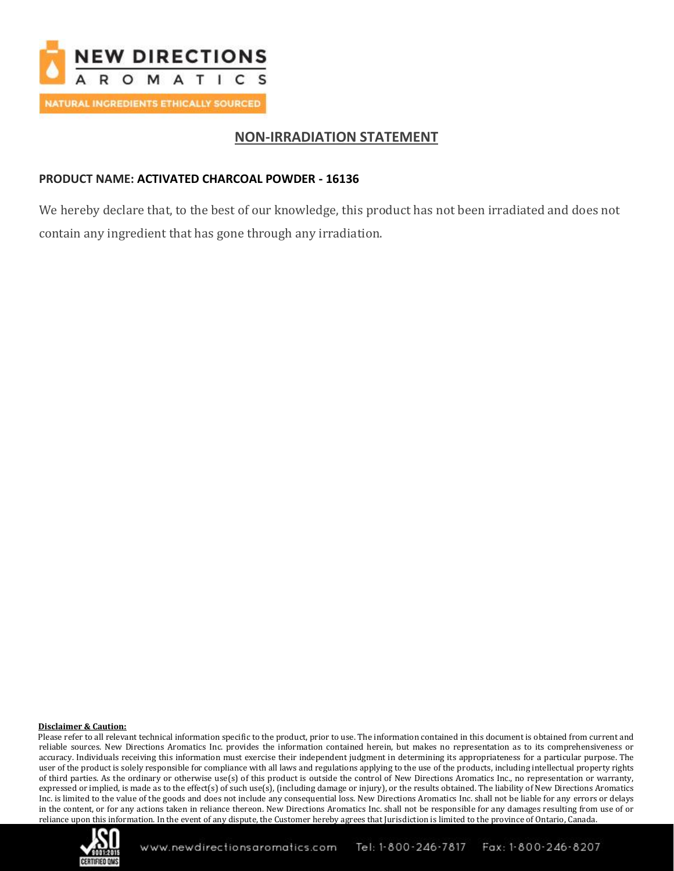

## **NON-IRRADIATION STATEMENT**

## **PRODUCT NAME: ACTIVATED CHARCOAL POWDER - 16136**

We hereby declare that, to the best of our knowledge, this product has not been irradiated and does not contain any ingredient that has gone through any irradiation.

### **Disclaimer & Caution:**

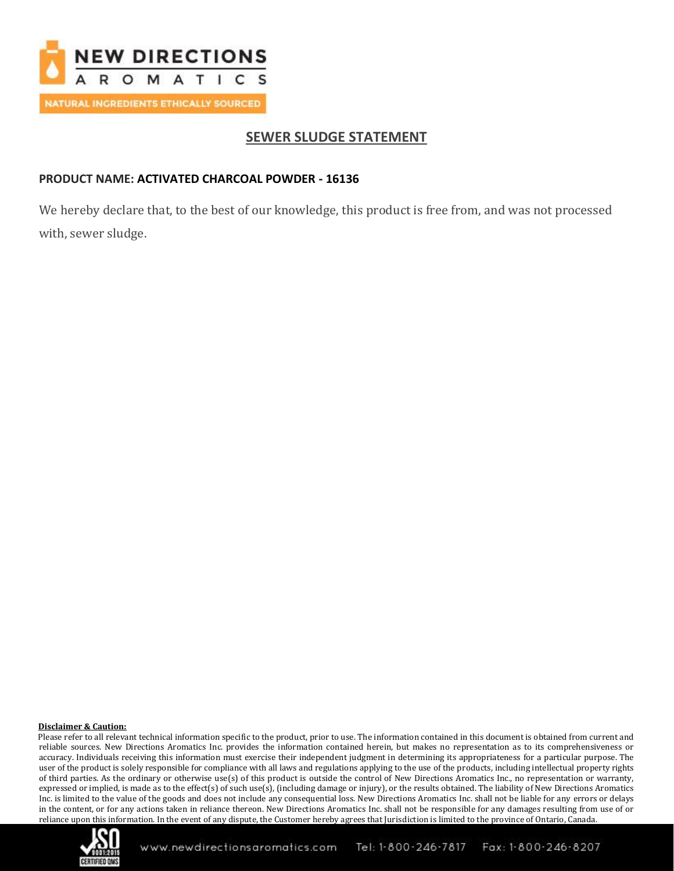

## **SEWER SLUDGE STATEMENT**

## **PRODUCT NAME: ACTIVATED CHARCOAL POWDER - 16136**

We hereby declare that, to the best of our knowledge, this product is free from, and was not processed with, sewer sludge.

### **Disclaimer & Caution:**

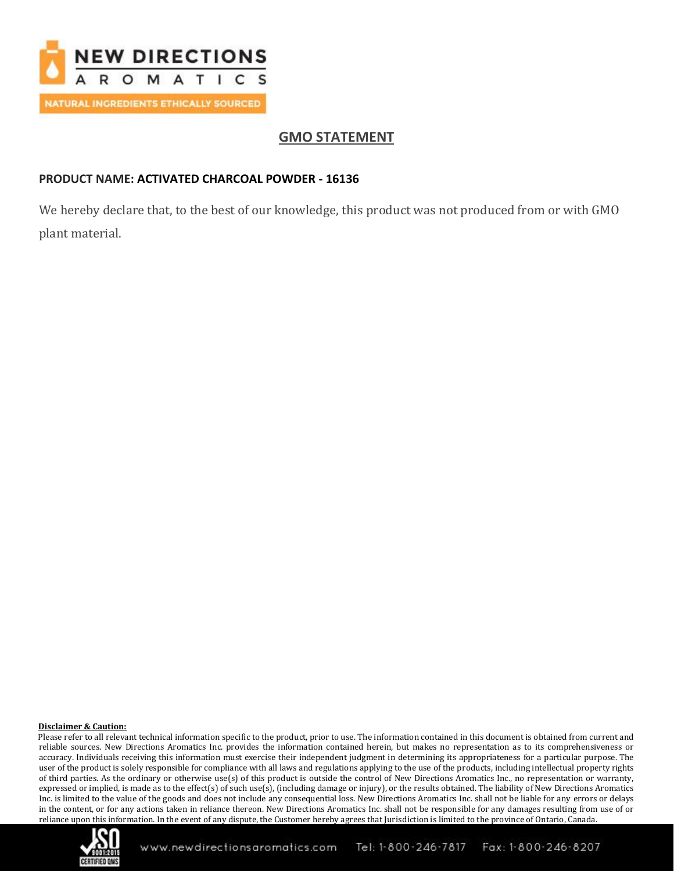

# **GMO STATEMENT**

## **PRODUCT NAME: ACTIVATED CHARCOAL POWDER - 16136**

We hereby declare that, to the best of our knowledge, this product was not produced from or with GMO plant material.

### **Disclaimer & Caution:**

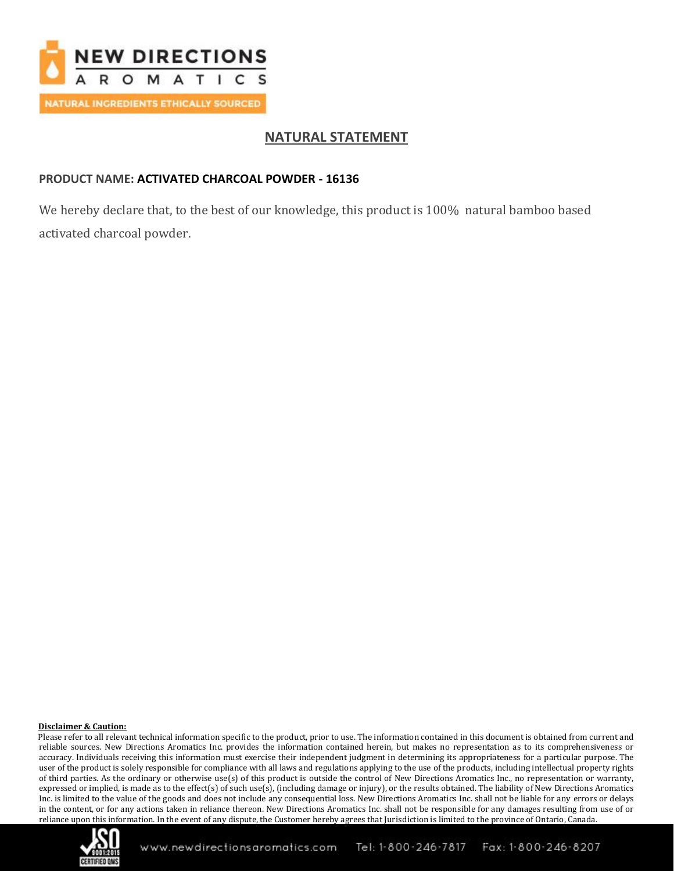

## **NATURAL STATEMENT**

## **PRODUCT NAME: ACTIVATED CHARCOAL POWDER - 16136**

We hereby declare that, to the best of our knowledge, this product is 100% natural bamboo based activated charcoal powder.

#### **Disclaimer & Caution:**

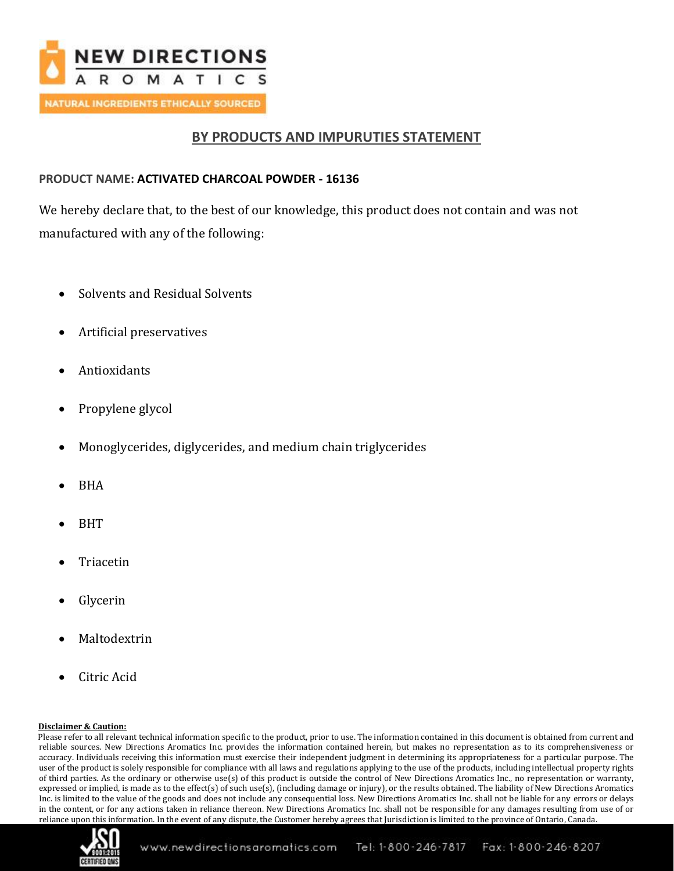

## **BY PRODUCTS AND IMPURUTIES STATEMENT**

## **PRODUCT NAME: ACTIVATED CHARCOAL POWDER - 16136**

We hereby declare that, to the best of our knowledge, this product does not contain and was not manufactured with any of the following:

- Solvents and Residual Solvents
- Artificial preservatives
- Antioxidants
- Propylene glycol
- Monoglycerides, diglycerides, and medium chain triglycerides
- BHA
- BHT
- **Triacetin**
- **Glycerin**
- **Maltodextrin**
- Citric Acid

### **Disclaimer & Caution:**

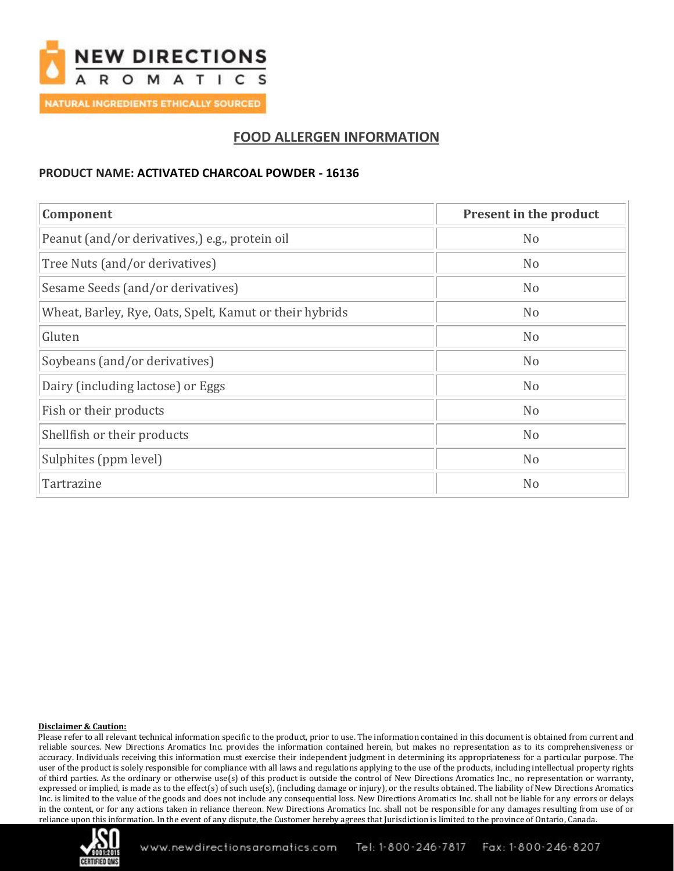

## **FOOD ALLERGEN INFORMATION**

### **PRODUCT NAME: ACTIVATED CHARCOAL POWDER - 16136**

| Component                                               | Present in the product |
|---------------------------------------------------------|------------------------|
| Peanut (and/or derivatives,) e.g., protein oil          | N <sub>o</sub>         |
| Tree Nuts (and/or derivatives)                          | N <sub>o</sub>         |
| Sesame Seeds (and/or derivatives)                       | N <sub>o</sub>         |
| Wheat, Barley, Rye, Oats, Spelt, Kamut or their hybrids | N <sub>o</sub>         |
| Gluten                                                  | N <sub>o</sub>         |
| Soybeans (and/or derivatives)                           | N <sub>o</sub>         |
| Dairy (including lactose) or Eggs                       | N <sub>o</sub>         |
| Fish or their products                                  | N <sub>o</sub>         |
| Shellfish or their products                             | N <sub>o</sub>         |
| Sulphites (ppm level)                                   | N <sub>o</sub>         |
| Tartrazine                                              | N <sub>o</sub>         |

#### **Disclaimer & Caution:**

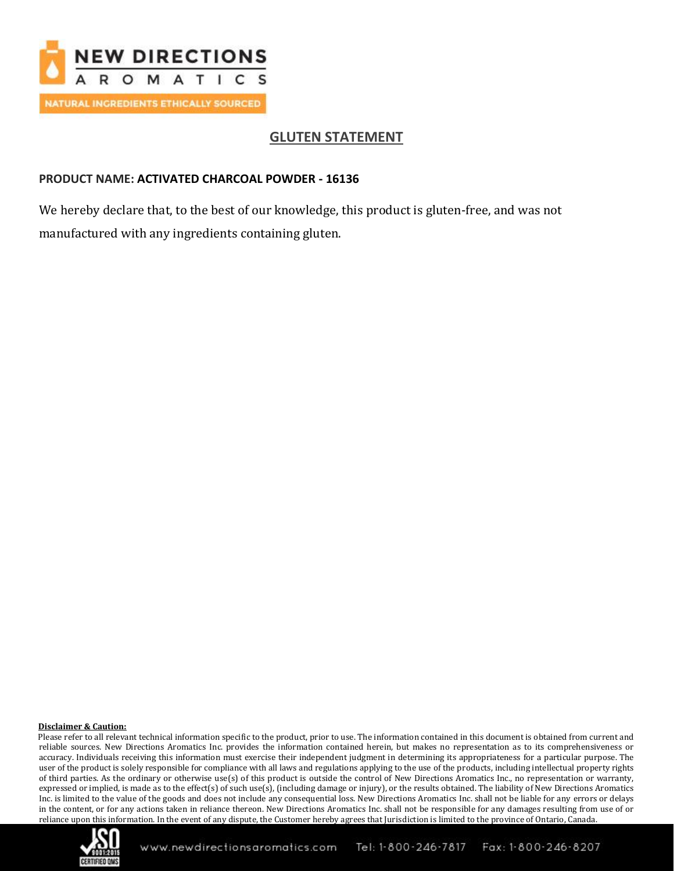

# **GLUTEN STATEMENT**

### **PRODUCT NAME: ACTIVATED CHARCOAL POWDER - 16136**

We hereby declare that, to the best of our knowledge, this product is gluten-free, and was not manufactured with any ingredients containing gluten.

#### **Disclaimer & Caution:**

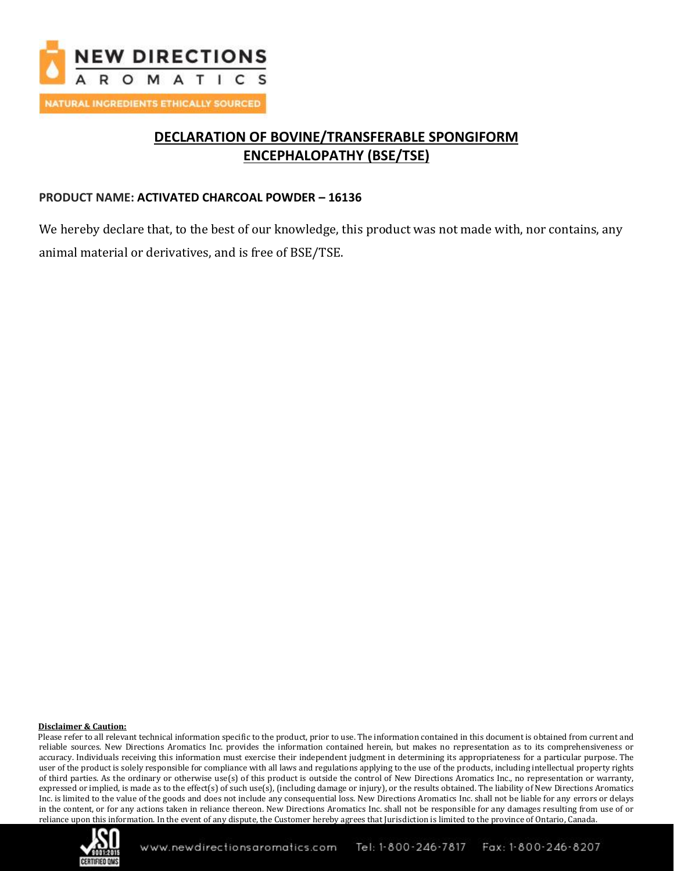

# **DECLARATION OF BOVINE/TRANSFERABLE SPONGIFORM ENCEPHALOPATHY (BSE/TSE)**

## **PRODUCT NAME: ACTIVATED CHARCOAL POWDER – 16136**

We hereby declare that, to the best of our knowledge, this product was not made with, nor contains, any animal material or derivatives, and is free of BSE/TSE.

#### **Disclaimer & Caution:**

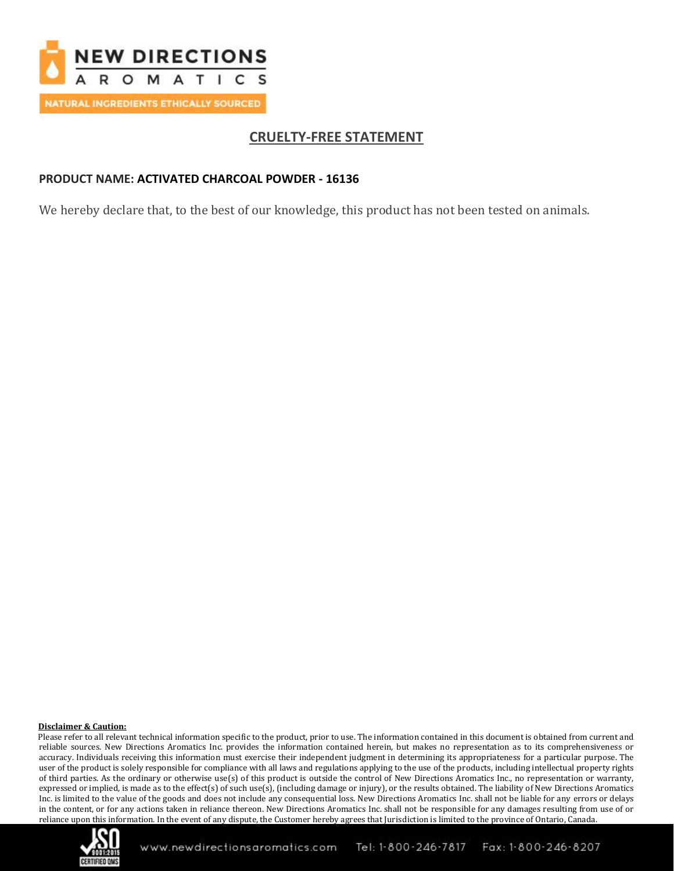

## **CRUELTY-FREE STATEMENT**

## **PRODUCT NAME: ACTIVATED CHARCOAL POWDER - 16136**

We hereby declare that, to the best of our knowledge, this product has not been tested on animals.

#### **Disclaimer & Caution:**

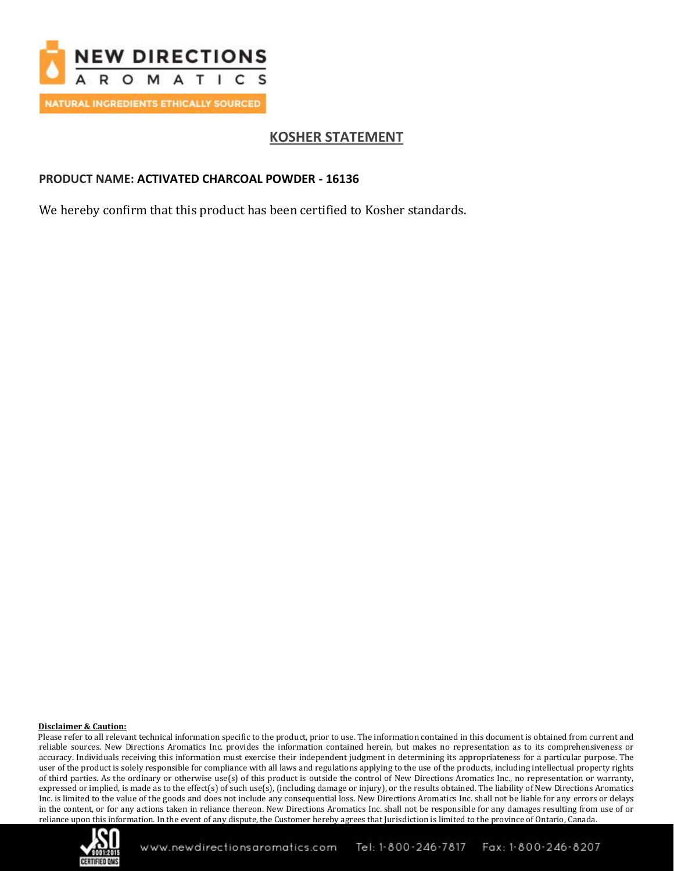

# **KOSHER STATEMENT**

## **PRODUCT NAME: ACTIVATED CHARCOAL POWDER - 16136**

We hereby confirm that this product has been certified to Kosher standards.

#### **Disclaimer & Caution:**

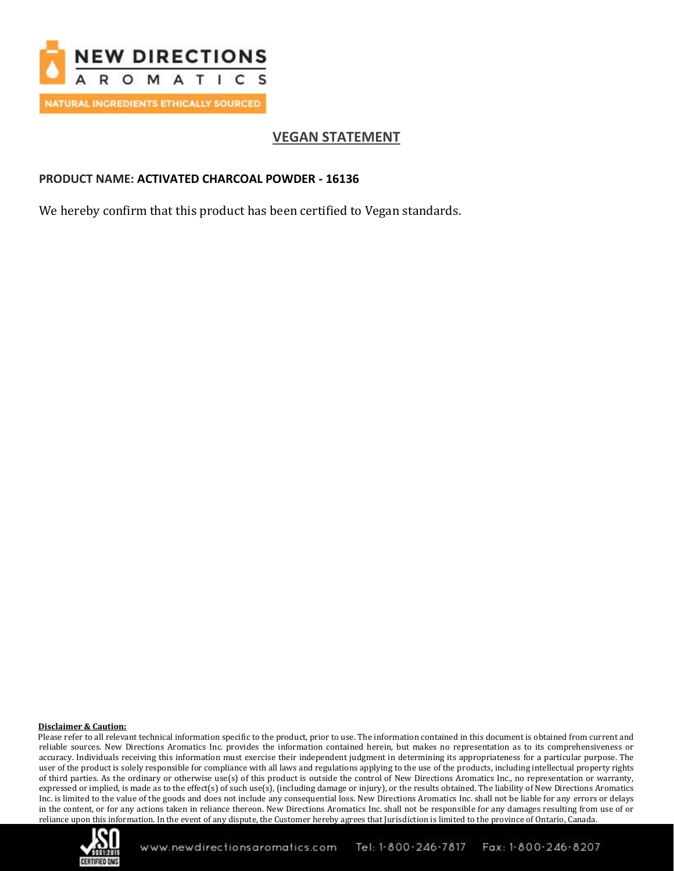

# **VEGAN STATEMENT**

## **PRODUCT NAME: ACTIVATED CHARCOAL POWDER - 16136**

We hereby confirm that this product has been certified to Vegan standards.

#### **Disclaimer & Caution:**

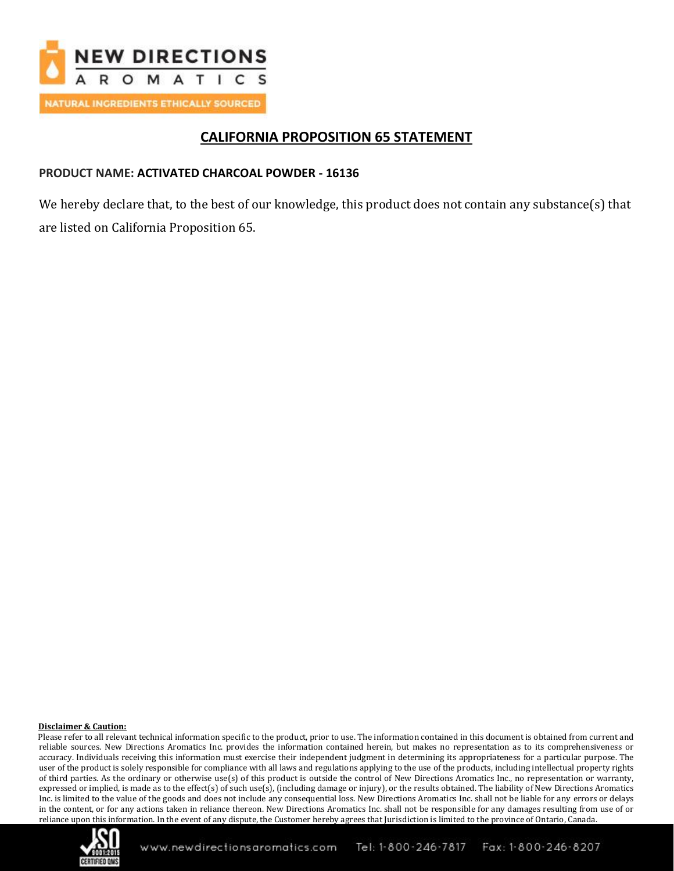

## **CALIFORNIA PROPOSITION 65 STATEMENT**

## **PRODUCT NAME: ACTIVATED CHARCOAL POWDER - 16136**

We hereby declare that, to the best of our knowledge, this product does not contain any substance(s) that are listed on California Proposition 65.

### **Disclaimer & Caution:**